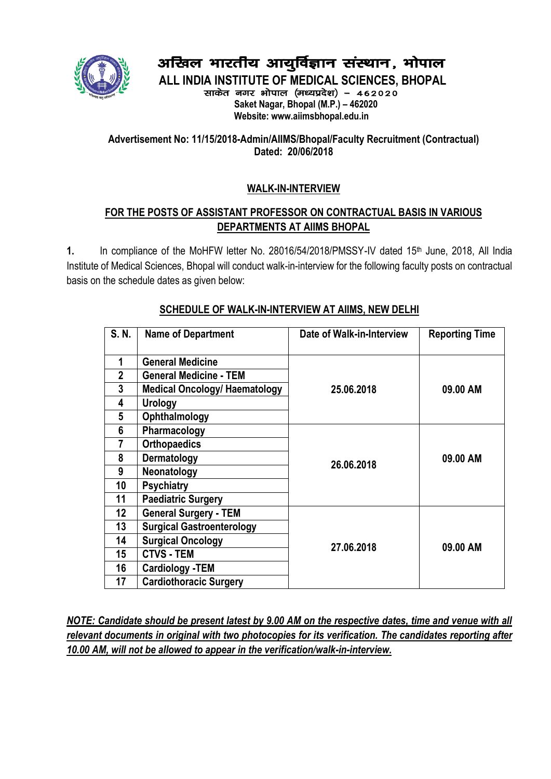

# अखिल भारतीय आयुर्विज्ञान संस्थान, भोपाल

**ALL INDIA INSTITUTE OF MEDICAL SCIENCES, BHOPAL** साकेत नगर भोपाल (मध्यप्रदेश) - 462020  **Saket Nagar, Bhopal (M.P.) – 462020 Website: www.aiimsbhopal.edu.in**

# **Advertisement No: 11/15/2018-Admin/AIIMS/Bhopal/Faculty Recruitment (Contractual) Dated: 20/06/2018**

# **WALK-IN-INTERVIEW**

# **FOR THE POSTS OF ASSISTANT PROFESSOR ON CONTRACTUAL BASIS IN VARIOUS DEPARTMENTS AT AIIMS BHOPAL**

1. In compliance of the MoHFW letter No. 28016/54/2018/PMSSY-IV dated 15<sup>th</sup> June, 2018, All India Institute of Medical Sciences, Bhopal will conduct walk-in-interview for the following faculty posts on contractual basis on the schedule dates as given below:

| S. N.           | <b>Name of Department</b>            | Date of Walk-in-Interview | <b>Reporting Time</b> |  |  |  |
|-----------------|--------------------------------------|---------------------------|-----------------------|--|--|--|
| 1               | <b>General Medicine</b>              |                           |                       |  |  |  |
| $\mathbf{2}$    | <b>General Medicine - TEM</b>        |                           |                       |  |  |  |
| 3               | <b>Medical Oncology/ Haematology</b> | 25.06.2018                | 09.00 AM              |  |  |  |
| 4               | Urology                              |                           |                       |  |  |  |
| 5               | Ophthalmology                        |                           |                       |  |  |  |
| $6\phantom{1}6$ | Pharmacology                         |                           |                       |  |  |  |
| 7               | <b>Orthopaedics</b>                  |                           | 09.00 AM              |  |  |  |
| 8               | Dermatology                          |                           |                       |  |  |  |
| 9               | Neonatology                          | 26.06.2018                |                       |  |  |  |
| 10              | <b>Psychiatry</b>                    |                           |                       |  |  |  |
| 11              | <b>Paediatric Surgery</b>            |                           |                       |  |  |  |
| $12 \,$         | <b>General Surgery - TEM</b>         |                           |                       |  |  |  |
| 13              | <b>Surgical Gastroenterology</b>     |                           |                       |  |  |  |
| 14              | <b>Surgical Oncology</b>             | 27.06.2018                |                       |  |  |  |
| 15              | <b>CTVS - TEM</b>                    |                           | 09.00 AM              |  |  |  |
| 16              | <b>Cardiology -TEM</b>               |                           |                       |  |  |  |
| 17              | <b>Cardiothoracic Surgery</b>        |                           |                       |  |  |  |

## **SCHEDULE OF WALK-IN-INTERVIEW AT AIIMS, NEW DELHI**

*NOTE: Candidate should be present latest by 9.00 AM on the respective dates, time and venue with all relevant documents in original with two photocopies for its verification. The candidates reporting after 10.00 AM, will not be allowed to appear in the verification/walk-in-interview.*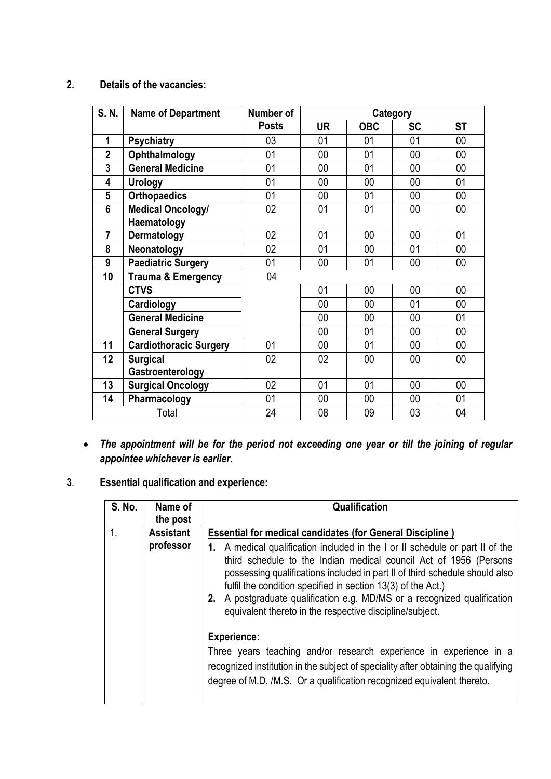#### **2. Details of the vacancies:**

| S. N.           | <b>Name of Department</b>     | Number of    | Category  |            |           |           |
|-----------------|-------------------------------|--------------|-----------|------------|-----------|-----------|
|                 |                               | <b>Posts</b> | <b>UR</b> | <b>OBC</b> | <b>SC</b> | <b>ST</b> |
| 1               | <b>Psychiatry</b>             | 03           | 01        | 01         | 01        | 00        |
| $\mathbf{2}$    | Ophthalmology                 | 01           | 00        | 01         | 00        | 00        |
| $\mathbf{3}$    | <b>General Medicine</b>       | 01           | $00\,$    | 01         | 00        | 00        |
| 4               | <b>Urology</b>                | 01           | 00        | 00         | 00        | 01        |
| $5\phantom{.0}$ | <b>Orthopaedics</b>           | 01           | 00        | 01         | 00        | 00        |
| 6               | <b>Medical Oncology/</b>      | 02           | 01        | 01         | 00        | 00        |
|                 | Haematology                   |              |           |            |           |           |
| $\overline{7}$  | Dermatology                   | 02           | 01        | 00         | 00        | 01        |
| 8               | Neonatology                   | 02           | 01        | 00         | 01        | 00        |
| 9               | Paediatric Surgery            | 01           | 00        | 01         | $00\,$    | 00        |
| 10              | <b>Trauma &amp; Emergency</b> | 04           |           |            |           |           |
|                 | <b>CTVS</b>                   |              | 01        | 00         | 00        | 00        |
|                 | Cardiology                    |              | 00        | 00         | 01        | 00        |
|                 | <b>General Medicine</b>       |              | 00        | 00         | 00        | 01        |
|                 | <b>General Surgery</b>        |              | $00\,$    | 01         | 00        | 00        |
| 11              | <b>Cardiothoracic Surgery</b> | 01           | 00        | 01         | 00        | $00\,$    |
| 12              | <b>Surgical</b>               | 02           | 02        | 00         | 00        | 00        |
|                 | Gastroenterology              |              |           |            |           |           |
| 13              | <b>Surgical Oncology</b>      | 02           | 01        | 01         | 00        | 00        |
| 14              | Pharmacology                  | 01           | 00        | $00\,$     | 00        | 01        |
| Total           |                               | 24           | 08        | 09         | 03        | 04        |

- *The appointment will be for the period not exceeding one year or till the joining of regular appointee whichever is earlier.*
- **3**. **Essential qualification and experience:**

| S. No.         | Name of<br>the post | Qualification                                                                                                                                                                                                                                                                                                                                                                                                                                                                                                                                                                                                                                                                                         |  |
|----------------|---------------------|-------------------------------------------------------------------------------------------------------------------------------------------------------------------------------------------------------------------------------------------------------------------------------------------------------------------------------------------------------------------------------------------------------------------------------------------------------------------------------------------------------------------------------------------------------------------------------------------------------------------------------------------------------------------------------------------------------|--|
| $\mathbf{1}$ . | <b>Assistant</b>    | <b>Essential for medical candidates (for General Discipline)</b>                                                                                                                                                                                                                                                                                                                                                                                                                                                                                                                                                                                                                                      |  |
|                | professor           | 1. A medical qualification included in the I or II schedule or part II of the<br>third schedule to the Indian medical council Act of 1956 (Persons<br>possessing qualifications included in part II of third schedule should also<br>fulfil the condition specified in section 13(3) of the Act.)<br>2. A postgraduate qualification e.g. MD/MS or a recognized qualification<br>equivalent thereto in the respective discipline/subject.<br><b>Experience:</b><br>Three years teaching and/or research experience in experience in a<br>recognized institution in the subject of speciality after obtaining the qualifying<br>degree of M.D. /M.S. Or a qualification recognized equivalent thereto. |  |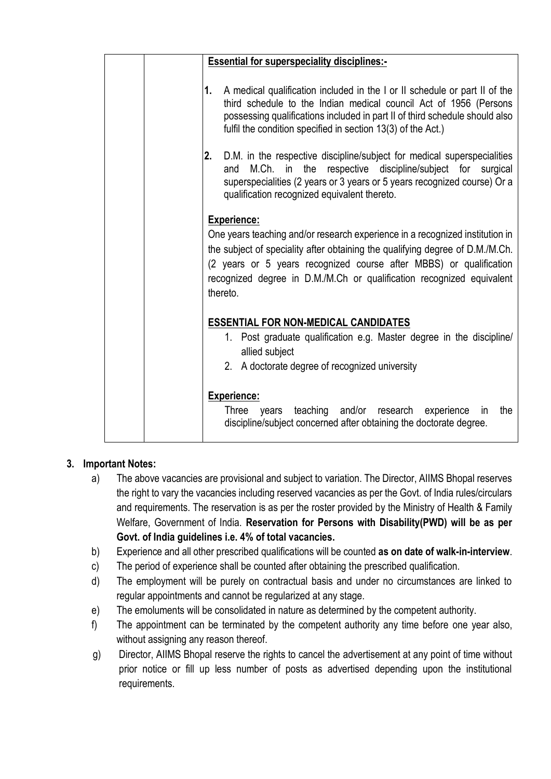| <b>Essential for superspeciality disciplines:-</b>                                                                                                                                                                                                                                                |
|---------------------------------------------------------------------------------------------------------------------------------------------------------------------------------------------------------------------------------------------------------------------------------------------------|
| 1. A medical qualification included in the I or II schedule or part II of the<br>third schedule to the Indian medical council Act of 1956 (Persons<br>possessing qualifications included in part II of third schedule should also<br>fulfil the condition specified in section 13(3) of the Act.) |
| 2. D.M. in the respective discipline/subject for medical superspecialities<br>respective discipline/subject for surgical<br>and M.Ch. in<br>the<br>superspecialities (2 years or 3 years or 5 years recognized course) Or a<br>qualification recognized equivalent thereto.                       |
|                                                                                                                                                                                                                                                                                                   |
| <b>Experience:</b>                                                                                                                                                                                                                                                                                |
| One years teaching and/or research experience in a recognized institution in                                                                                                                                                                                                                      |
| the subject of speciality after obtaining the qualifying degree of D.M./M.Ch.                                                                                                                                                                                                                     |
| (2 years or 5 years recognized course after MBBS) or qualification                                                                                                                                                                                                                                |
| recognized degree in D.M./M.Ch or qualification recognized equivalent<br>thereto.                                                                                                                                                                                                                 |
| <b>ESSENTIAL FOR NON-MEDICAL CANDIDATES</b>                                                                                                                                                                                                                                                       |
| 1. Post graduate qualification e.g. Master degree in the discipline/                                                                                                                                                                                                                              |
| allied subject                                                                                                                                                                                                                                                                                    |
| 2. A doctorate degree of recognized university                                                                                                                                                                                                                                                    |
| Experience:                                                                                                                                                                                                                                                                                       |
| years teaching and/or research experience<br>the<br>Three<br>$\mathsf{in}$                                                                                                                                                                                                                        |
| discipline/subject concerned after obtaining the doctorate degree.                                                                                                                                                                                                                                |

## **3. Important Notes:**

- a) The above vacancies are provisional and subject to variation. The Director, AIIMS Bhopal reserves the right to vary the vacancies including reserved vacancies as per the Govt. of India rules/circulars and requirements. The reservation is as per the roster provided by the Ministry of Health & Family Welfare, Government of India. **Reservation for Persons with Disability(PWD) will be as per Govt. of India guidelines i.e. 4% of total vacancies.**
- b) Experience and all other prescribed qualifications will be counted **as on date of walk-in-interview**.
- c) The period of experience shall be counted after obtaining the prescribed qualification.
- d) The employment will be purely on contractual basis and under no circumstances are linked to regular appointments and cannot be regularized at any stage.
- e) The emoluments will be consolidated in nature as determined by the competent authority.
- f) The appointment can be terminated by the competent authority any time before one year also, without assigning any reason thereof.
- g) Director, AIIMS Bhopal reserve the rights to cancel the advertisement at any point of time without prior notice or fill up less number of posts as advertised depending upon the institutional requirements.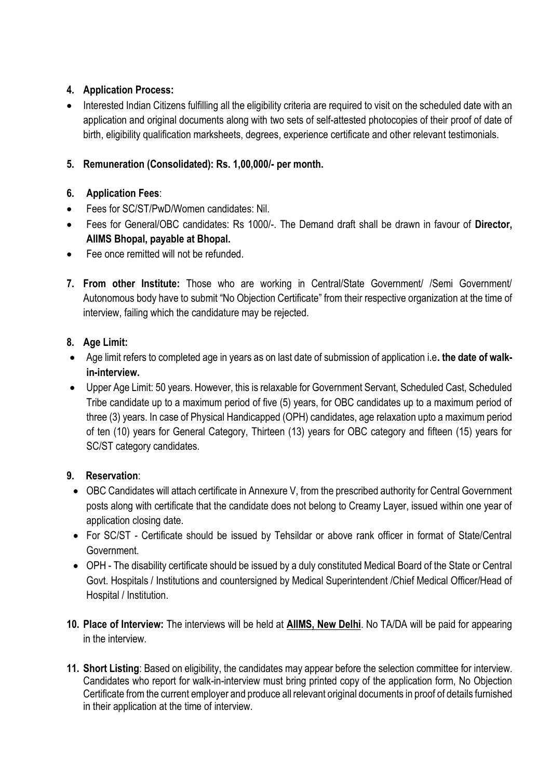# **4. Application Process:**

• Interested Indian Citizens fulfilling all the eligibility criteria are required to visit on the scheduled date with an application and original documents along with two sets of self-attested photocopies of their proof of date of birth, eligibility qualification marksheets, degrees, experience certificate and other relevant testimonials.

# **5. Remuneration (Consolidated): Rs. 1,00,000/- per month.**

# **6. Application Fees**:

- Fees for SC/ST/PwD/Women candidates: Nil.
- Fees for General/OBC candidates: Rs 1000/-. The Demand draft shall be drawn in favour of **Director, AIIMS Bhopal, payable at Bhopal.**
- Fee once remitted will not be refunded.
- **7. From other Institute:** Those who are working in Central/State Government/ /Semi Government/ Autonomous body have to submit "No Objection Certificate" from their respective organization at the time of interview, failing which the candidature may be rejected.

## **8. Age Limit:**

- Age limit refers to completed age in years as on last date of submission of application i.e**. the date of walkin-interview.**
- Upper Age Limit: 50 years. However, this is relaxable for Government Servant, Scheduled Cast, Scheduled Tribe candidate up to a maximum period of five (5) years, for OBC candidates up to a maximum period of three (3) years. In case of Physical Handicapped (OPH) candidates, age relaxation upto a maximum period of ten (10) years for General Category, Thirteen (13) years for OBC category and fifteen (15) years for SC/ST category candidates.

## **9. Reservation**:

- OBC Candidates will attach certificate in Annexure V, from the prescribed authority for Central Government posts along with certificate that the candidate does not belong to Creamy Layer, issued within one year of application closing date.
- For SC/ST Certificate should be issued by Tehsildar or above rank officer in format of State/Central Government.
- OPH The disability certificate should be issued by a duly constituted Medical Board of the State or Central Govt. Hospitals / Institutions and countersigned by Medical Superintendent /Chief Medical Officer/Head of Hospital / Institution.
- **10. Place of Interview:** The interviews will be held at **AIIMS, New Delhi**. No TA/DA will be paid for appearing in the interview.
- **11. Short Listing**: Based on eligibility, the candidates may appear before the selection committee for interview. Candidates who report for walk-in-interview must bring printed copy of the application form, No Objection Certificate from the current employer and produce all relevant original documents in proof of details furnished in their application at the time of interview.